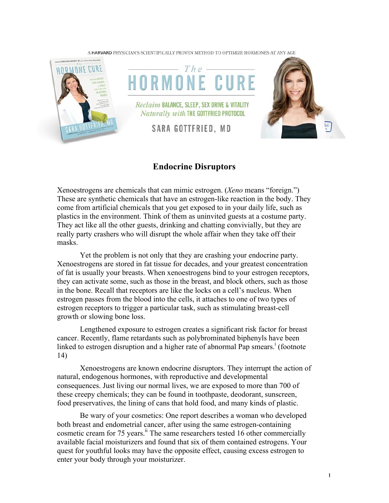

## A HARVARD PHYSICIAN'S SCIENTIFICALLY PROVEN METHOD TO OPTIMIZE HORMONES AT ANY AGE

## **Endocrine Disruptors**

Xenoestrogens are chemicals that can mimic estrogen. (*Xeno* means "foreign.") These are synthetic chemicals that have an estrogen-like reaction in the body. They come from artificial chemicals that you get exposed to in your daily life, such as plastics in the environment. Think of them as uninvited guests at a costume party. They act like all the other guests, drinking and chatting convivially, but they are really party crashers who will disrupt the whole affair when they take off their masks.

Yet the problem is not only that they are crashing your endocrine party. Xenoestrogens are stored in fat tissue for decades, and your greatest concentration of fat is usually your breasts. When xenoestrogens bind to your estrogen receptors, they can activate some, such as those in the breast, and block others, such as those in the bone. Recall that receptors are like the locks on a cell's nucleus. When estrogen passes from the blood into the cells, it attaches to one of two types of estrogen receptors to trigger a particular task, such as stimulating breast-cell growth or slowing bone loss.

Lengthened exposure to estrogen creates a significant risk factor for breast cancer. Recently, flame retardants such as polybrominated biphenyls have been linked to estrogen disruption and a higher rate of abnormal Pap smears.<sup>i</sup> (footnote 14)

Xenoestrogens are known endocrine disruptors. They interrupt the action of natural, endogenous hormones, with reproductive and developmental consequences. Just living our normal lives, we are exposed to more than 700 of these creepy chemicals; they can be found in toothpaste, deodorant, sunscreen, food preservatives, the lining of cans that hold food, and many kinds of plastic.

Be wary of your cosmetics: One report describes a woman who developed both breast and endometrial cancer, after using the same estrogen-containing cosmetic cream for 75 years.<sup>ii</sup> The same researchers tested 16 other commercially available facial moisturizers and found that six of them contained estrogens. Your quest for youthful looks may have the opposite effect, causing excess estrogen to enter your body through your moisturizer.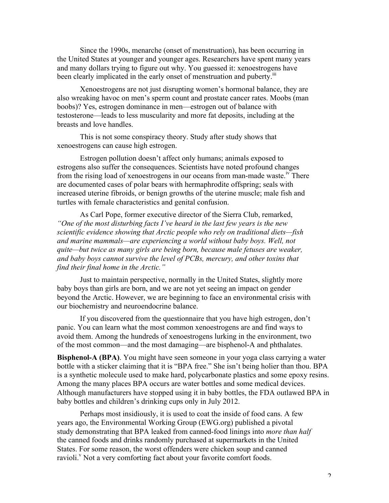Since the 1990s, menarche (onset of menstruation), has been occurring in the United States at younger and younger ages. Researchers have spent many years and many dollars trying to figure out why. You guessed it: xenoestrogens have been clearly implicated in the early onset of menstruation and puberty.<sup>III</sup>

Xenoestrogens are not just disrupting women's hormonal balance, they are also wreaking havoc on men's sperm count and prostate cancer rates. Moobs (man boobs)? Yes, estrogen dominance in men—estrogen out of balance with testosterone—leads to less muscularity and more fat deposits, including at the breasts and love handles.

This is not some conspiracy theory. Study after study shows that xenoestrogens can cause high estrogen.

Estrogen pollution doesn't affect only humans; animals exposed to estrogens also suffer the consequences. Scientists have noted profound changes from the rising load of xenoestrogens in our oceans from man-made waste.<sup> $N$ </sup> There are documented cases of polar bears with hermaphrodite offspring; seals with increased uterine fibroids, or benign growths of the uterine muscle; male fish and turtles with female characteristics and genital confusion.

As Carl Pope, former executive director of the Sierra Club, remarked, *"One of the most disturbing facts I've heard in the last few years is the new scientific evidence showing that Arctic people who rely on traditional diets—fish and marine mammals—are experiencing a world without baby boys. Well, not quite—but twice as many girls are being born, because male fetuses are weaker, and baby boys cannot survive the level of PCBs, mercury, and other toxins that find their final home in the Arctic."*

Just to maintain perspective, normally in the United States, slightly more baby boys than girls are born, and we are not yet seeing an impact on gender beyond the Arctic. However, we are beginning to face an environmental crisis with our biochemistry and neuroendocrine balance.

If you discovered from the questionnaire that you have high estrogen, don't panic. You can learn what the most common xenoestrogens are and find ways to avoid them. Among the hundreds of xenoestrogens lurking in the environment, two of the most common—and the most damaging—are bisphenol-A and phthalates.

**Bisphenol-A (BPA)**. You might have seen someone in your yoga class carrying a water bottle with a sticker claiming that it is "BPA free." She isn't being holier than thou. BPA is a synthetic molecule used to make hard, polycarbonate plastics and some epoxy resins. Among the many places BPA occurs are water bottles and some medical devices. Although manufacturers have stopped using it in baby bottles, the FDA outlawed BPA in baby bottles and children's drinking cups only in July 2012.

Perhaps most insidiously, it is used to coat the inside of food cans. A few years ago, the Environmental Working Group (EWG.org) published a pivotal study demonstrating that BPA leaked from canned-food linings into *more than half*  the canned foods and drinks randomly purchased at supermarkets in the United States. For some reason, the worst offenders were chicken soup and canned ravioli.<sup>v</sup> Not a very comforting fact about your favorite comfort foods.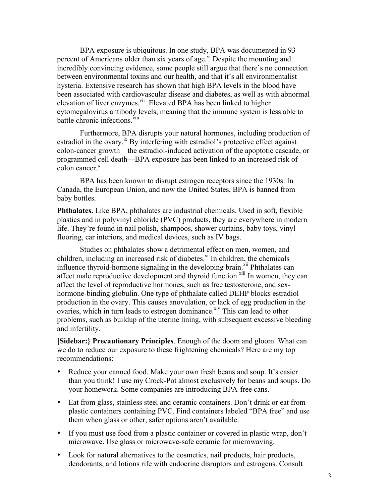BPA exposure is ubiquitous. In one study, BPA was documented in 93 percent of Americans older than six years of age.<sup>vi</sup> Despite the mounting and incredibly convincing evidence, some people still argue that there's no connection between environmental toxins and our health, and that it's all environmentalist hysteria. Extensive research has shown that high BPA levels in the blood have been associated with cardiovascular disease and diabetes, as well as with abnormal elevation of liver enzymes.<sup>vii</sup> Elevated BPA has been linked to higher cytomegalovirus antibody levels, meaning that the immune system is less able to battle chronic infections.<sup>viii</sup>

Furthermore, BPA disrupts your natural hormones, including production of estradiol in the ovary.<sup> $x$ </sup> By interfering with estradiol's protective effect against colon-cancer growth—the estradiol-induced activation of the apoptotic cascade, or programmed cell death—BPA exposure has been linked to an increased risk of  $color<sub>x</sub>$ 

BPA has been known to disrupt estrogen receptors since the 1930s. In Canada, the European Union, and now the United States, BPA is banned from baby bottles.

**Phthalates.** Like BPA, phthalates are industrial chemicals. Used in soft, flexible plastics and in polyvinyl chloride (PVC) products, they are everywhere in modern life. They're found in nail polish, shampoos, shower curtains, baby toys, vinyl flooring, car interiors, and medical devices, such as IV bags.

Studies on phthalates show a detrimental effect on men, women, and children, including an increased risk of diabetes. $x_i$  In children, the chemicals influence thyroid-hormone signaling in the developing brain. $\frac{x}{x}$ <sup>xii</sup> Phthalates can affect male reproductive development and thyroid function.<sup>xiii</sup> In women, they can affect the level of reproductive hormones, such as free testosterone, and sexhormone-binding globulin. One type of phthalate called DEHP blocks estradiol production in the ovary. This causes anovulation, or lack of egg production in the ovaries, which in turn leads to estrogen dominance.<sup>xiv</sup> This can lead to other problems, such as buildup of the uterine lining, with subsequent excessive bleeding and infertility.

**[Sidebar:} Precautionary Principles**. Enough of the doom and gloom. What can we do to reduce our exposure to these frightening chemicals? Here are my top recommendations:

- Reduce your canned food. Make your own fresh beans and soup. It's easier than you think! I use my Crock-Pot almost exclusively for beans and soups. Do your homework. Some companies are introducing BPA-free cans.
- Eat from glass, stainless steel and ceramic containers. Don't drink or eat from plastic containers containing PVC. Find containers labeled "BPA free" and use them when glass or other, safer options aren't available.
- If you must use food from a plastic container or covered in plastic wrap, don't microwave. Use glass or microwave-safe ceramic for microwaving.
- Look for natural alternatives to the cosmetics, nail products, hair products, deodorants, and lotions rife with endocrine disruptors and estrogens. Consult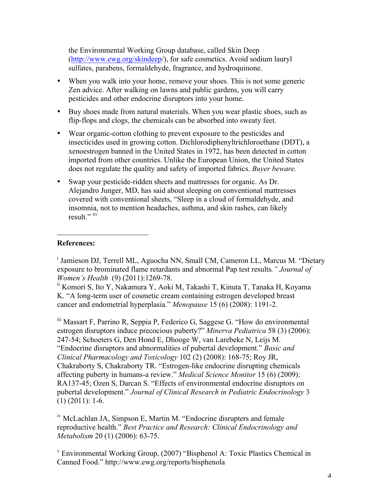the Environmental Working Group database, called Skin Deep (http://www.ewg.org/skindeep/), for safe cosmetics. Avoid sodium lauryl sulfates, parabens, formaldehyde, fragrance, and hydroquinone.

- When you walk into your home, remove your shoes. This is not some generic Zen advice. After walking on lawns and public gardens, you will carry pesticides and other endocrine disruptors into your home.
- Buy shoes made from natural materials. When you wear plastic shoes, such as flip-flops and clogs, the chemicals can be absorbed into sweaty feet.
- Wear organic-cotton clothing to prevent exposure to the pesticides and insecticides used in growing cotton. Dichlorodiphenyltrichloroethane (DDT), a xenoestrogen banned in the United States in 1972, has been detected in cotton imported from other countries. Unlike the European Union, the United States does not regulate the quality and safety of imported fabrics. *Buyer beware.*
- Swap your pesticide-ridden sheets and mattresses for organic. As Dr. Alejandro Junger, MD, has said about sleeping on conventional mattresses covered with conventional sheets, "Sleep in a cloud of formaldehyde, and insomnia, not to mention headaches, asthma, and skin rashes, can likely result."<sup>xv</sup>

## **References:**

 $\overline{a}$ 

<sup>i</sup> Jamieson DJ, Terrell ML, Aguocha NN, Small CM, Cameron LL, Marcus M. "Dietary exposure to brominated flame retardants and abnormal Pap test results*." Journal of Women's Health* (9) (2011):1269-78.

ii Komori S, Ito Y, Nakamura Y, Aoki M, Takashi T, Kinuta T, Tanaka H, Koyama K. "A long-term user of cosmetic cream containing estrogen developed breast cancer and endometrial hyperplasia." *Menopause* 15 (6) (2008): 1191-2.

iii Massart F, Parrino R, Seppia P, Federico G, Saggese G. "How do environmental estrogen disruptors induce precocious puberty?" *Minerva Pediatrica* 58 (3) (2006): 247-54; Schoeters G, Den Hond E, Dhooge W, van Larebeke N, Leijs M. "Endocrine disruptors and abnormalities of pubertal development." *Basic and Clinical Pharmacology and Toxicology* 102 (2) (2008): 168-75; Roy JR, Chakraborty S, Chakraborty TR. "Estrogen-like endocrine disrupting chemicals affecting puberty in humans-a review." *Medical Science Monitor* 15 (6) (2009): RA137-45; Ozen S, Darcan S. "Effects of environmental endocrine disruptors on pubertal development." *Journal of Clinical Research in Pediatric Endocrinology* 3 (1) (2011): 1-6.

<sup>iv</sup> McLachlan JA, Simpson E, Martin M. "Endocrine disrupters and female reproductive health." *Best Practice and Research: Clinical Endocrinology and Metabolism* 20 (1) (2006): 63-75.

<sup>v</sup> Environmental Working Group,  $(2007)$  "Bisphenol A: Toxic Plastics Chemical in Canned Food." http://www.ewg.org/reports/bisphenola